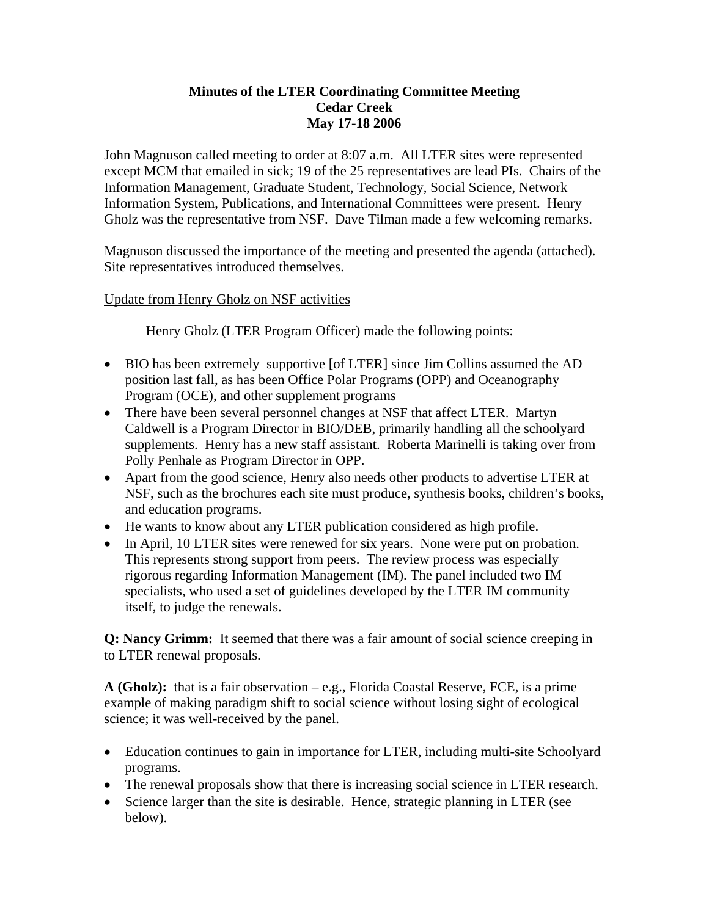## **Minutes of the LTER Coordinating Committee Meeting Cedar Creek May 17-18 2006**

John Magnuson called meeting to order at 8:07 a.m. All LTER sites were represented except MCM that emailed in sick; 19 of the 25 representatives are lead PIs. Chairs of the Information Management, Graduate Student, Technology, Social Science, Network Information System, Publications, and International Committees were present. Henry Gholz was the representative from NSF. Dave Tilman made a few welcoming remarks.

Magnuson discussed the importance of the meeting and presented the agenda (attached). Site representatives introduced themselves.

Update from Henry Gholz on NSF activities

Henry Gholz (LTER Program Officer) made the following points:

- BIO has been extremely supportive [of LTER] since Jim Collins assumed the AD position last fall, as has been Office Polar Programs (OPP) and Oceanography Program (OCE), and other supplement programs
- There have been several personnel changes at NSF that affect LTER. Martyn Caldwell is a Program Director in BIO/DEB, primarily handling all the schoolyard supplements. Henry has a new staff assistant. Roberta Marinelli is taking over from Polly Penhale as Program Director in OPP.
- Apart from the good science, Henry also needs other products to advertise LTER at NSF, such as the brochures each site must produce, synthesis books, children's books, and education programs.
- He wants to know about any LTER publication considered as high profile.
- In April, 10 LTER sites were renewed for six years. None were put on probation. This represents strong support from peers. The review process was especially rigorous regarding Information Management (IM). The panel included two IM specialists, who used a set of guidelines developed by the LTER IM community itself, to judge the renewals.

**Q: Nancy Grimm:** It seemed that there was a fair amount of social science creeping in to LTER renewal proposals.

**A (Gholz):** that is a fair observation – e.g., Florida Coastal Reserve, FCE, is a prime example of making paradigm shift to social science without losing sight of ecological science; it was well-received by the panel.

- Education continues to gain in importance for LTER, including multi-site Schoolyard programs.
- The renewal proposals show that there is increasing social science in LTER research.
- Science larger than the site is desirable. Hence, strategic planning in LTER (see below).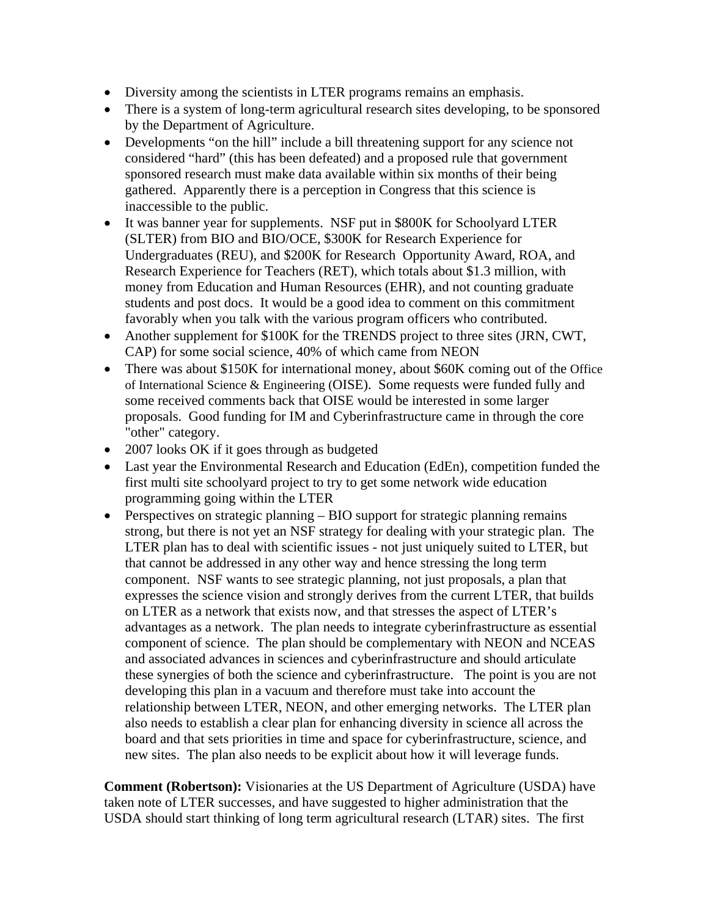- Diversity among the scientists in LTER programs remains an emphasis.
- There is a system of long-term agricultural research sites developing, to be sponsored by the Department of Agriculture.
- Developments "on the hill" include a bill threatening support for any science not considered "hard" (this has been defeated) and a proposed rule that government sponsored research must make data available within six months of their being gathered. Apparently there is a perception in Congress that this science is inaccessible to the public.
- It was banner year for supplements. NSF put in \$800K for Schoolyard LTER (SLTER) from BIO and BIO/OCE, \$300K for Research Experience for Undergraduates (REU), and \$200K for Research Opportunity Award, ROA, and Research Experience for Teachers (RET), which totals about \$1.3 million, with money from Education and Human Resources (EHR), and not counting graduate students and post docs. It would be a good idea to comment on this commitment favorably when you talk with the various program officers who contributed.
- Another supplement for \$100K for the TRENDS project to three sites (JRN, CWT, CAP) for some social science, 40% of which came from NEON
- There was about \$150K for international money, about \$60K coming out of the Office of International Science & Engineering (OISE). Some requests were funded fully and some received comments back that OISE would be interested in some larger proposals. Good funding for IM and Cyberinfrastructure came in through the core "other" category.
- 2007 looks OK if it goes through as budgeted
- Last year the Environmental Research and Education (EdEn), competition funded the first multi site schoolyard project to try to get some network wide education programming going within the LTER
- Perspectives on strategic planning BIO support for strategic planning remains strong, but there is not yet an NSF strategy for dealing with your strategic plan. The LTER plan has to deal with scientific issues - not just uniquely suited to LTER, but that cannot be addressed in any other way and hence stressing the long term component. NSF wants to see strategic planning, not just proposals, a plan that expresses the science vision and strongly derives from the current LTER, that builds on LTER as a network that exists now, and that stresses the aspect of LTER's advantages as a network. The plan needs to integrate cyberinfrastructure as essential component of science. The plan should be complementary with NEON and NCEAS and associated advances in sciences and cyberinfrastructure and should articulate these synergies of both the science and cyberinfrastructure. The point is you are not developing this plan in a vacuum and therefore must take into account the relationship between LTER, NEON, and other emerging networks. The LTER plan also needs to establish a clear plan for enhancing diversity in science all across the board and that sets priorities in time and space for cyberinfrastructure, science, and new sites. The plan also needs to be explicit about how it will leverage funds.

**Comment (Robertson):** Visionaries at the US Department of Agriculture (USDA) have taken note of LTER successes, and have suggested to higher administration that the USDA should start thinking of long term agricultural research (LTAR) sites. The first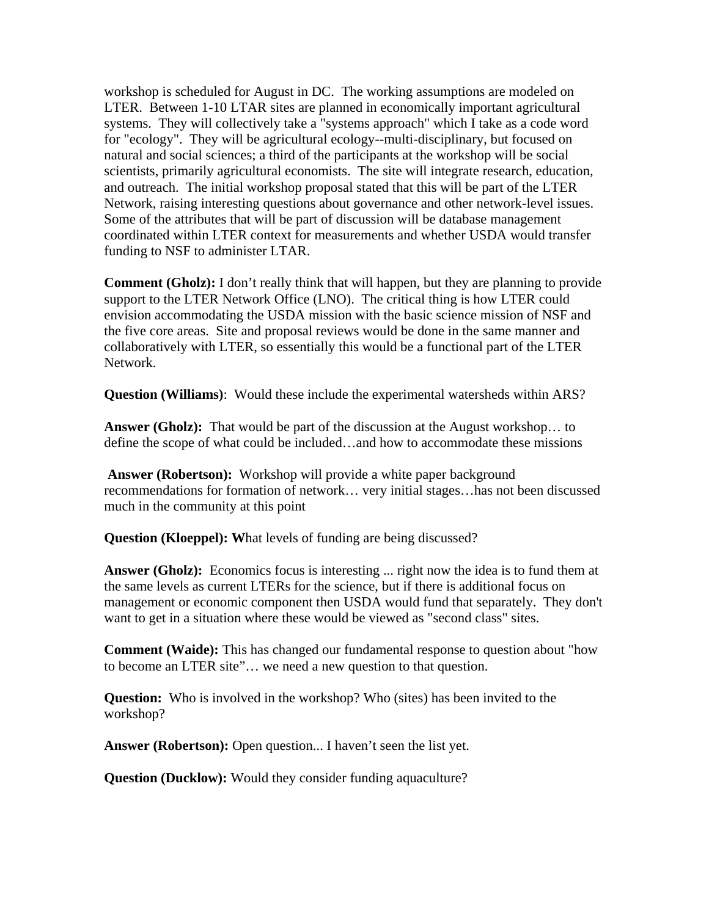workshop is scheduled for August in DC. The working assumptions are modeled on LTER. Between 1-10 LTAR sites are planned in economically important agricultural systems. They will collectively take a "systems approach" which I take as a code word for "ecology". They will be agricultural ecology--multi-disciplinary, but focused on natural and social sciences; a third of the participants at the workshop will be social scientists, primarily agricultural economists. The site will integrate research, education, and outreach. The initial workshop proposal stated that this will be part of the LTER Network, raising interesting questions about governance and other network-level issues. Some of the attributes that will be part of discussion will be database management coordinated within LTER context for measurements and whether USDA would transfer funding to NSF to administer LTAR.

**Comment (Gholz):** I don't really think that will happen, but they are planning to provide support to the LTER Network Office (LNO). The critical thing is how LTER could envision accommodating the USDA mission with the basic science mission of NSF and the five core areas. Site and proposal reviews would be done in the same manner and collaboratively with LTER, so essentially this would be a functional part of the LTER Network.

**Question (Williams)**: Would these include the experimental watersheds within ARS?

**Answer (Gholz):** That would be part of the discussion at the August workshop... to define the scope of what could be included…and how to accommodate these missions

**Answer (Robertson):** Workshop will provide a white paper background recommendations for formation of network… very initial stages…has not been discussed much in the community at this point

**Question (Kloeppel): W**hat levels of funding are being discussed?

**Answer (Gholz):** Economics focus is interesting ... right now the idea is to fund them at the same levels as current LTERs for the science, but if there is additional focus on management or economic component then USDA would fund that separately. They don't want to get in a situation where these would be viewed as "second class" sites.

**Comment (Waide):** This has changed our fundamental response to question about "how to become an LTER site"… we need a new question to that question.

**Question:** Who is involved in the workshop? Who (sites) has been invited to the workshop?

**Answer (Robertson):** Open question... I haven't seen the list yet.

**Question (Ducklow):** Would they consider funding aquaculture?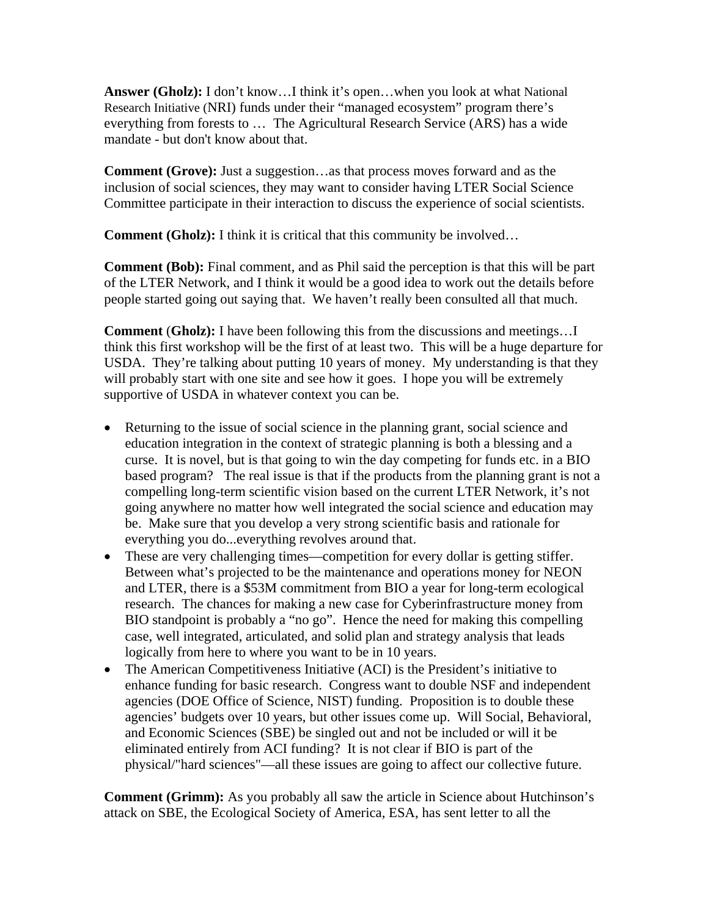**Answer (Gholz):** I don't know…I think it's open…when you look at what National Research Initiative (NRI) funds under their "managed ecosystem" program there's everything from forests to … The Agricultural Research Service (ARS) has a wide mandate - but don't know about that.

**Comment (Grove):** Just a suggestion…as that process moves forward and as the inclusion of social sciences, they may want to consider having LTER Social Science Committee participate in their interaction to discuss the experience of social scientists.

**Comment (Gholz):** I think it is critical that this community be involved...

**Comment (Bob):** Final comment, and as Phil said the perception is that this will be part of the LTER Network, and I think it would be a good idea to work out the details before people started going out saying that. We haven't really been consulted all that much.

**Comment** (**Gholz):** I have been following this from the discussions and meetings…I think this first workshop will be the first of at least two. This will be a huge departure for USDA. They're talking about putting 10 years of money. My understanding is that they will probably start with one site and see how it goes. I hope you will be extremely supportive of USDA in whatever context you can be.

- Returning to the issue of social science in the planning grant, social science and education integration in the context of strategic planning is both a blessing and a curse. It is novel, but is that going to win the day competing for funds etc. in a BIO based program? The real issue is that if the products from the planning grant is not a compelling long-term scientific vision based on the current LTER Network, it's not going anywhere no matter how well integrated the social science and education may be. Make sure that you develop a very strong scientific basis and rationale for everything you do...everything revolves around that.
- These are very challenging times—competition for every dollar is getting stiffer. Between what's projected to be the maintenance and operations money for NEON and LTER, there is a \$53M commitment from BIO a year for long-term ecological research. The chances for making a new case for Cyberinfrastructure money from BIO standpoint is probably a "no go". Hence the need for making this compelling case, well integrated, articulated, and solid plan and strategy analysis that leads logically from here to where you want to be in 10 years.
- The American Competitiveness Initiative (ACI) is the President's initiative to enhance funding for basic research. Congress want to double NSF and independent agencies (DOE Office of Science, NIST) funding. Proposition is to double these agencies' budgets over 10 years, but other issues come up. Will Social, Behavioral, and Economic Sciences (SBE) be singled out and not be included or will it be eliminated entirely from ACI funding? It is not clear if BIO is part of the physical/"hard sciences"—all these issues are going to affect our collective future.

**Comment (Grimm):** As you probably all saw the article in Science about Hutchinson's attack on SBE, the Ecological Society of America, ESA, has sent letter to all the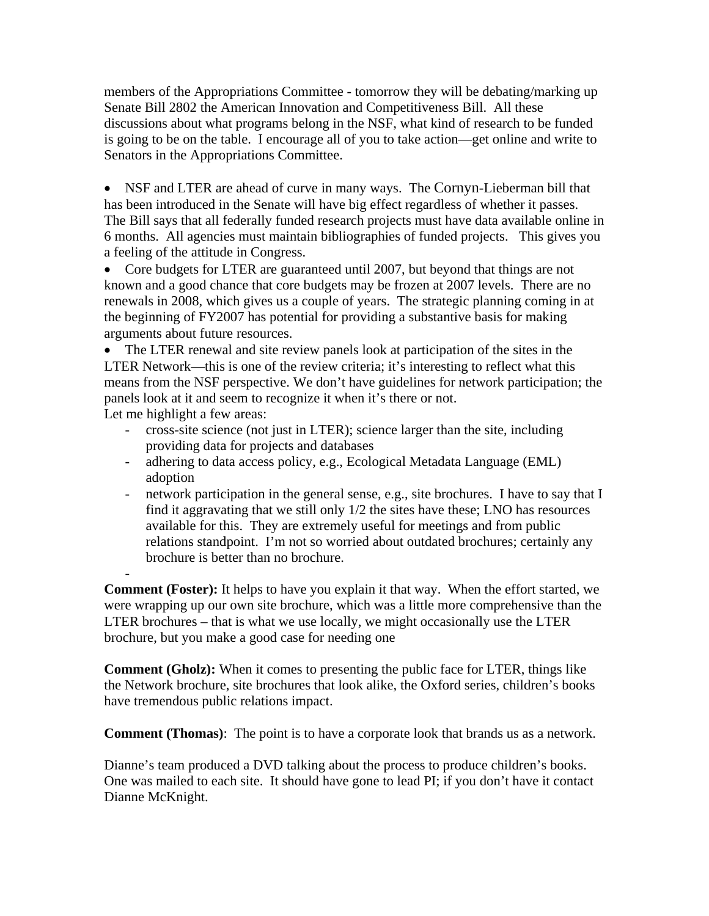members of the Appropriations Committee - tomorrow they will be debating/marking up Senate Bill 2802 the American Innovation and Competitiveness Bill. All these discussions about what programs belong in the NSF, what kind of research to be funded is going to be on the table. I encourage all of you to take action—get online and write to Senators in the Appropriations Committee.

• NSF and LTER are ahead of curve in many ways. The Cornyn-Lieberman bill that has been introduced in the Senate will have big effect regardless of whether it passes. The Bill says that all federally funded research projects must have data available online in 6 months. All agencies must maintain bibliographies of funded projects. This gives you a feeling of the attitude in Congress.

• Core budgets for LTER are guaranteed until 2007, but beyond that things are not known and a good chance that core budgets may be frozen at 2007 levels. There are no renewals in 2008, which gives us a couple of years. The strategic planning coming in at the beginning of FY2007 has potential for providing a substantive basis for making arguments about future resources.

• The LTER renewal and site review panels look at participation of the sites in the LTER Network—this is one of the review criteria; it's interesting to reflect what this means from the NSF perspective. We don't have guidelines for network participation; the panels look at it and seem to recognize it when it's there or not. Let me highlight a few areas:

- cross-site science (not just in LTER); science larger than the site, including providing data for projects and databases
- adhering to data access policy, e.g., Ecological Metadata Language (EML) adoption
- network participation in the general sense, e.g., site brochures. I have to say that I find it aggravating that we still only 1/2 the sites have these; LNO has resources available for this. They are extremely useful for meetings and from public relations standpoint. I'm not so worried about outdated brochures; certainly any brochure is better than no brochure.

**Comment (Foster):** It helps to have you explain it that way. When the effort started, we were wrapping up our own site brochure, which was a little more comprehensive than the LTER brochures – that is what we use locally, we might occasionally use the LTER brochure, but you make a good case for needing one

-

**Comment (Gholz):** When it comes to presenting the public face for LTER, things like the Network brochure, site brochures that look alike, the Oxford series, children's books have tremendous public relations impact.

**Comment (Thomas)**: The point is to have a corporate look that brands us as a network.

Dianne's team produced a DVD talking about the process to produce children's books. One was mailed to each site. It should have gone to lead PI; if you don't have it contact Dianne McKnight.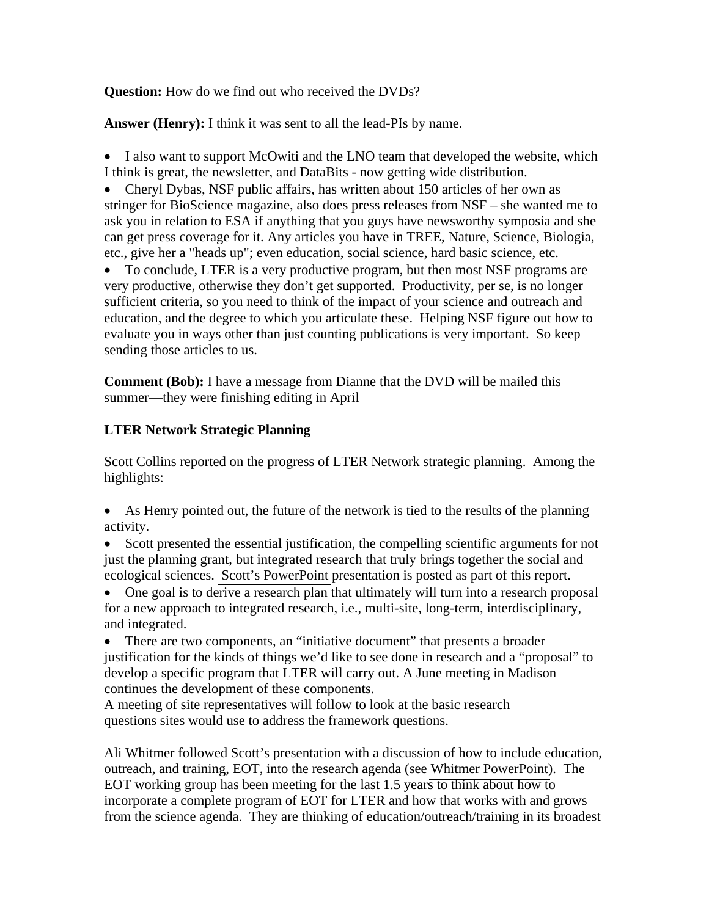**Question:** How do we find out who received the DVDs?

**Answer (Henry):** I think it was sent to all the lead-PIs by name.

• I also want to support McOwiti and the LNO team that developed the website, which I think is great, the newsletter, and DataBits - now getting wide distribution.

• Cheryl Dybas, NSF public affairs, has written about 150 articles of her own as stringer for BioScience magazine, also does press releases from NSF – she wanted me to ask you in relation to ESA if anything that you guys have newsworthy symposia and she can get press coverage for it. Any articles you have in TREE, Nature, Science, Biologia, etc., give her a "heads up"; even education, social science, hard basic science, etc.

• To conclude, LTER is a very productive program, but then most NSF programs are very productive, otherwise they don't get supported. Productivity, per se, is no longer sufficient criteria, so you need to think of the impact of your science and outreach and education, and the degree to which you articulate these. Helping NSF figure out how to evaluate you in ways other than just counting publications is very important. So keep sending those articles to us.

**Comment (Bob):** I have a message from Dianne that the DVD will be mailed this summer—they were finishing editing in April

## **LTER Network Strategic Planning**

Scott Collins reported on the progress of LTER Network strategic planning. Among the highlights:

- As Henry pointed out, the future of the network is tied to the results of the planning activity.
- Scott presented the essential justification, the compelling scientific arguments for not just the planning grant, but integrated research that truly brings together the social and ecological sciences. [Scott's PowerPoint](http://intranet.lternet.edu/committees/coordinating/spring06mtg/Collins_LTER-CC_May06.ppt) presentation is posted as part of this report.
- One goal is to derive a research plan that ultimately will turn into a research proposal for a new approach to integrated research, i.e., multi-site, long-term, interdisciplinary, and integrated.
- There are two components, an "initiative document" that presents a broader justification for the kinds of things we'd like to see done in research and a "proposal" to develop a specific program that LTER will carry out. A June meeting in Madison continues the development of these components.

A meeting of site representatives will follow to look at the basic research questions sites would use to address the framework questions.

Ali Whitmer followed Scott's presentation with a discussion of how to include education, outreach, and training, EOT, into the research agenda (see [Whitmer PowerPoint\)](http://intranet.lternet.edu/committees/coordinating/spring06mtg/Whitmer_LTER-CC_May06.ppt). The EOT working group has been meeting for the last 1.5 years to think about how to incorporate a complete program of EOT for LTER and how that works with and grows from the science agenda. They are thinking of education/outreach/training in its broadest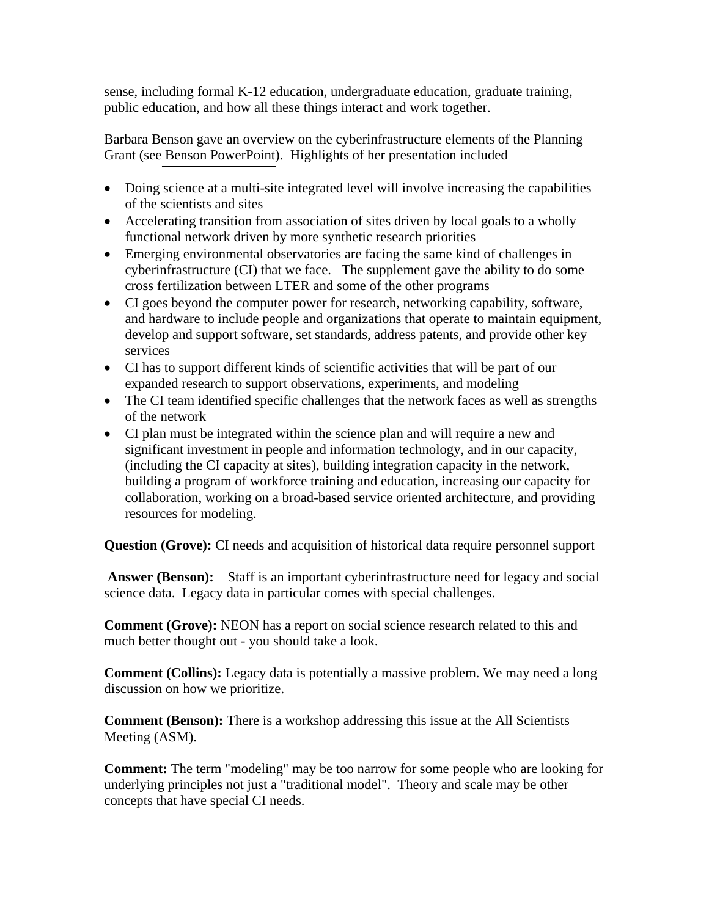sense, including formal K-12 education, undergraduate education, graduate training, public education, and how all these things interact and work together.

Barbara Benson gave an overview on the cyberinfrastructure elements of the Planning Grant (see [Benson PowerPoint\)](http://intranet.lternet.edu/committees/coordinating/spring06mtg/Benson_LTER-CC_May06.ppt). Highlights of her presentation included

- Doing science at a multi-site integrated level will involve increasing the capabilities of the scientists and sites
- Accelerating transition from association of sites driven by local goals to a wholly functional network driven by more synthetic research priorities
- Emerging environmental observatories are facing the same kind of challenges in cyberinfrastructure (CI) that we face. The supplement gave the ability to do some cross fertilization between LTER and some of the other programs
- CI goes beyond the computer power for research, networking capability, software, and hardware to include people and organizations that operate to maintain equipment, develop and support software, set standards, address patents, and provide other key services
- CI has to support different kinds of scientific activities that will be part of our expanded research to support observations, experiments, and modeling
- The CI team identified specific challenges that the network faces as well as strengths of the network
- CI plan must be integrated within the science plan and will require a new and significant investment in people and information technology, and in our capacity, (including the CI capacity at sites), building integration capacity in the network, building a program of workforce training and education, increasing our capacity for collaboration, working on a broad-based service oriented architecture, and providing resources for modeling.

**Question (Grove):** CI needs and acquisition of historical data require personnel support

**Answer (Benson):** Staff is an important cyberinfrastructure need for legacy and social science data. Legacy data in particular comes with special challenges.

**Comment (Grove):** NEON has a report on social science research related to this and much better thought out - you should take a look.

**Comment (Collins):** Legacy data is potentially a massive problem. We may need a long discussion on how we prioritize.

**Comment (Benson):** There is a workshop addressing this issue at the All Scientists Meeting (ASM).

**Comment:** The term "modeling" may be too narrow for some people who are looking for underlying principles not just a "traditional model". Theory and scale may be other concepts that have special CI needs.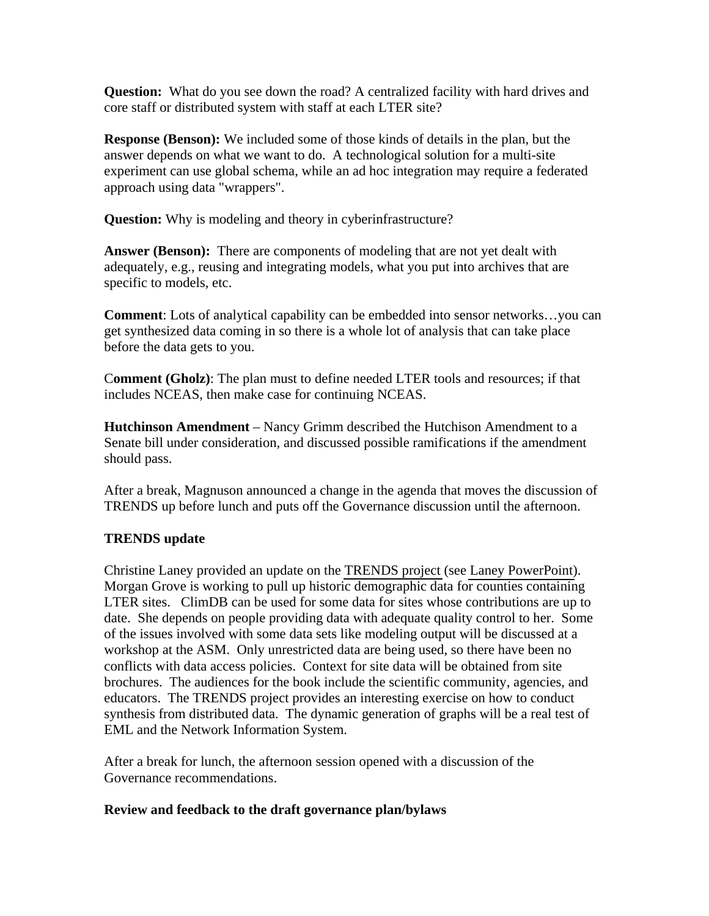**Question:** What do you see down the road? A centralized facility with hard drives and core staff or distributed system with staff at each LTER site?

**Response (Benson):** We included some of those kinds of details in the plan, but the answer depends on what we want to do. A technological solution for a multi-site experiment can use global schema, while an ad hoc integration may require a federated approach using data "wrappers".

**Question:** Why is modeling and theory in cyberinfrastructure?

**Answer (Benson):** There are components of modeling that are not yet dealt with adequately, e.g., reusing and integrating models, what you put into archives that are specific to models, etc.

**Comment**: Lots of analytical capability can be embedded into sensor networks…you can get synthesized data coming in so there is a whole lot of analysis that can take place before the data gets to you.

C**omment (Gholz)**: The plan must to define needed LTER tools and resources; if that includes NCEAS, then make case for continuing NCEAS.

**Hutchinson Amendment** – Nancy Grimm described the Hutchison Amendment to a Senate bill under consideration, and discussed possible ramifications if the amendment should pass.

After a break, Magnuson announced a change in the agenda that moves the discussion of TRENDS up before lunch and puts off the Governance discussion until the afternoon.

## **TRENDS update**

Christine Laney provided an update on the [TRENDS project](http://intranet.lternet.edu/committees/coordinating/spring06mtg/Trends_one_pager.pdf) (see [Laney PowerPoint\)](http://intranet.lternet.edu/committees/coordinating/spring06mtg/Laney_CC_May_06.ppt). Morgan Grove is working to pull up historic demographic data for counties containing LTER sites. ClimDB can be used for some data for sites whose contributions are up to date. She depends on people providing data with adequate quality control to her. Some of the issues involved with some data sets like modeling output will be discussed at a workshop at the ASM. Only unrestricted data are being used, so there have been no conflicts with data access policies. Context for site data will be obtained from site brochures. The audiences for the book include the scientific community, agencies, and educators. The TRENDS project provides an interesting exercise on how to conduct synthesis from distributed data. The dynamic generation of graphs will be a real test of EML and the Network Information System.

After a break for lunch, the afternoon session opened with a discussion of the Governance recommendations.

## **Review and feedback to the draft governance plan/bylaws**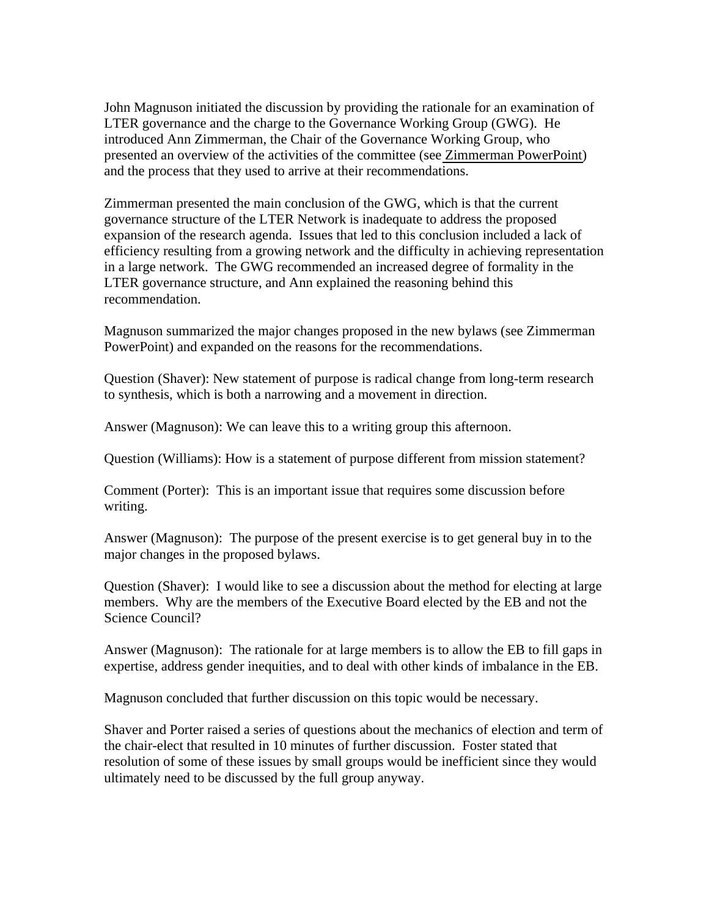John Magnuson initiated the discussion by providing the rationale for an examination of LTER governance and the charge to the Governance Working Group (GWG). He introduced Ann Zimmerman, the Chair of the Governance Working Group, who presented an overview of the activities of the committee (see [Zimmerman PowerPoint\)](http://intranet.lternet.edu/committees/coordinating/spring06mtg/Zimmerman_LTER-CC_May06.ppt) and the process that they used to arrive at their recommendations.

Zimmerman presented the main conclusion of the GWG, which is that the current governance structure of the LTER Network is inadequate to address the proposed expansion of the research agenda. Issues that led to this conclusion included a lack of efficiency resulting from a growing network and the difficulty in achieving representation in a large network. The GWG recommended an increased degree of formality in the LTER governance structure, and Ann explained the reasoning behind this recommendation.

Magnuson summarized the major changes proposed in the new bylaws (see Zimmerman PowerPoint) and expanded on the reasons for the recommendations.

Question (Shaver): New statement of purpose is radical change from long-term research to synthesis, which is both a narrowing and a movement in direction.

Answer (Magnuson): We can leave this to a writing group this afternoon.

Question (Williams): How is a statement of purpose different from mission statement?

Comment (Porter): This is an important issue that requires some discussion before writing.

Answer (Magnuson): The purpose of the present exercise is to get general buy in to the major changes in the proposed bylaws.

Question (Shaver): I would like to see a discussion about the method for electing at large members. Why are the members of the Executive Board elected by the EB and not the Science Council?

Answer (Magnuson): The rationale for at large members is to allow the EB to fill gaps in expertise, address gender inequities, and to deal with other kinds of imbalance in the EB.

Magnuson concluded that further discussion on this topic would be necessary.

Shaver and Porter raised a series of questions about the mechanics of election and term of the chair-elect that resulted in 10 minutes of further discussion. Foster stated that resolution of some of these issues by small groups would be inefficient since they would ultimately need to be discussed by the full group anyway.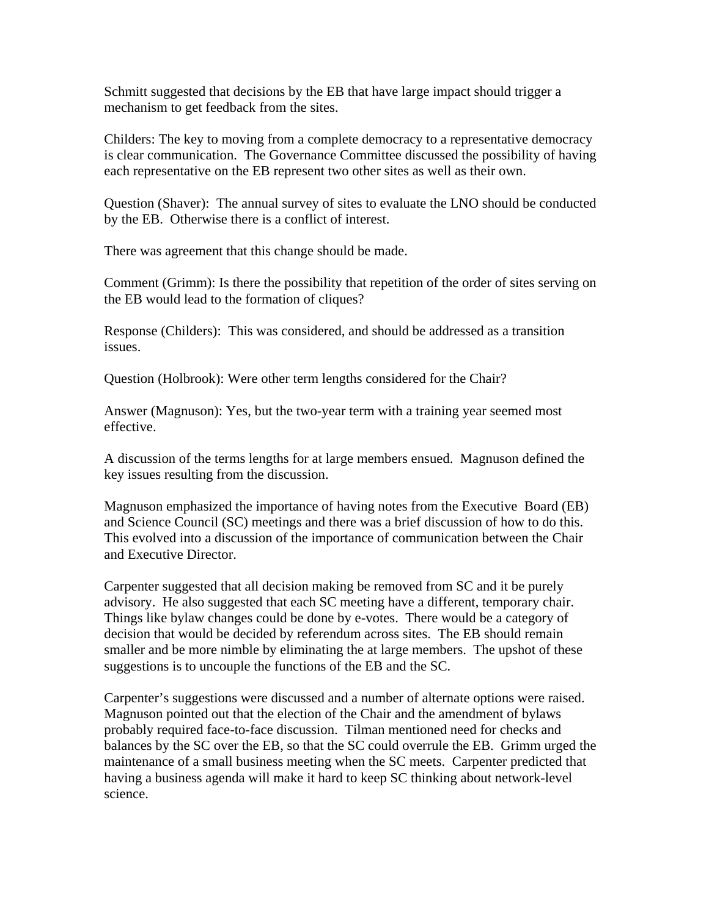Schmitt suggested that decisions by the EB that have large impact should trigger a mechanism to get feedback from the sites.

Childers: The key to moving from a complete democracy to a representative democracy is clear communication. The Governance Committee discussed the possibility of having each representative on the EB represent two other sites as well as their own.

Question (Shaver): The annual survey of sites to evaluate the LNO should be conducted by the EB. Otherwise there is a conflict of interest.

There was agreement that this change should be made.

Comment (Grimm): Is there the possibility that repetition of the order of sites serving on the EB would lead to the formation of cliques?

Response (Childers): This was considered, and should be addressed as a transition issues.

Question (Holbrook): Were other term lengths considered for the Chair?

Answer (Magnuson): Yes, but the two-year term with a training year seemed most effective.

A discussion of the terms lengths for at large members ensued. Magnuson defined the key issues resulting from the discussion.

Magnuson emphasized the importance of having notes from the Executive Board (EB) and Science Council (SC) meetings and there was a brief discussion of how to do this. This evolved into a discussion of the importance of communication between the Chair and Executive Director.

Carpenter suggested that all decision making be removed from SC and it be purely advisory. He also suggested that each SC meeting have a different, temporary chair. Things like bylaw changes could be done by e-votes. There would be a category of decision that would be decided by referendum across sites. The EB should remain smaller and be more nimble by eliminating the at large members. The upshot of these suggestions is to uncouple the functions of the EB and the SC.

Carpenter's suggestions were discussed and a number of alternate options were raised. Magnuson pointed out that the election of the Chair and the amendment of bylaws probably required face-to-face discussion. Tilman mentioned need for checks and balances by the SC over the EB, so that the SC could overrule the EB. Grimm urged the maintenance of a small business meeting when the SC meets. Carpenter predicted that having a business agenda will make it hard to keep SC thinking about network-level science.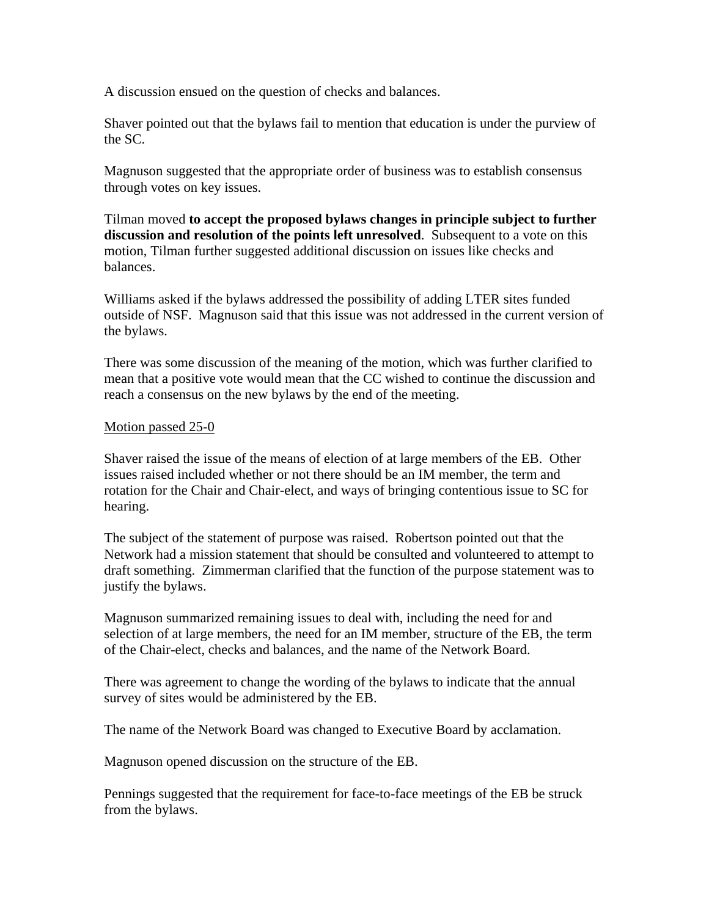A discussion ensued on the question of checks and balances.

Shaver pointed out that the bylaws fail to mention that education is under the purview of the SC.

Magnuson suggested that the appropriate order of business was to establish consensus through votes on key issues.

Tilman moved **to accept the proposed bylaws changes in principle subject to further discussion and resolution of the points left unresolved**. Subsequent to a vote on this motion, Tilman further suggested additional discussion on issues like checks and balances.

Williams asked if the bylaws addressed the possibility of adding LTER sites funded outside of NSF. Magnuson said that this issue was not addressed in the current version of the bylaws.

There was some discussion of the meaning of the motion, which was further clarified to mean that a positive vote would mean that the CC wished to continue the discussion and reach a consensus on the new bylaws by the end of the meeting.

#### Motion passed 25-0

Shaver raised the issue of the means of election of at large members of the EB. Other issues raised included whether or not there should be an IM member, the term and rotation for the Chair and Chair-elect, and ways of bringing contentious issue to SC for hearing.

The subject of the statement of purpose was raised. Robertson pointed out that the Network had a mission statement that should be consulted and volunteered to attempt to draft something. Zimmerman clarified that the function of the purpose statement was to justify the bylaws.

Magnuson summarized remaining issues to deal with, including the need for and selection of at large members, the need for an IM member, structure of the EB, the term of the Chair-elect, checks and balances, and the name of the Network Board.

There was agreement to change the wording of the bylaws to indicate that the annual survey of sites would be administered by the EB.

The name of the Network Board was changed to Executive Board by acclamation.

Magnuson opened discussion on the structure of the EB.

Pennings suggested that the requirement for face-to-face meetings of the EB be struck from the bylaws.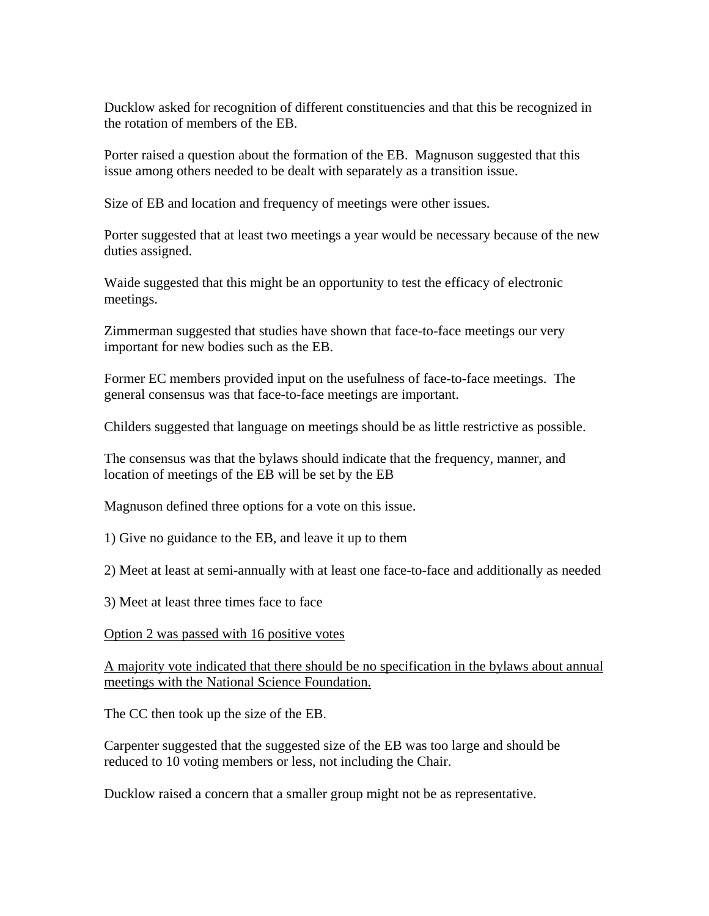Ducklow asked for recognition of different constituencies and that this be recognized in the rotation of members of the EB.

Porter raised a question about the formation of the EB. Magnuson suggested that this issue among others needed to be dealt with separately as a transition issue.

Size of EB and location and frequency of meetings were other issues.

Porter suggested that at least two meetings a year would be necessary because of the new duties assigned.

Waide suggested that this might be an opportunity to test the efficacy of electronic meetings.

Zimmerman suggested that studies have shown that face-to-face meetings our very important for new bodies such as the EB.

Former EC members provided input on the usefulness of face-to-face meetings. The general consensus was that face-to-face meetings are important.

Childers suggested that language on meetings should be as little restrictive as possible.

The consensus was that the bylaws should indicate that the frequency, manner, and location of meetings of the EB will be set by the EB

Magnuson defined three options for a vote on this issue.

1) Give no guidance to the EB, and leave it up to them

2) Meet at least at semi-annually with at least one face-to-face and additionally as needed

3) Meet at least three times face to face

Option 2 was passed with 16 positive votes

A majority vote indicated that there should be no specification in the bylaws about annual meetings with the National Science Foundation.

The CC then took up the size of the EB.

Carpenter suggested that the suggested size of the EB was too large and should be reduced to 10 voting members or less, not including the Chair.

Ducklow raised a concern that a smaller group might not be as representative.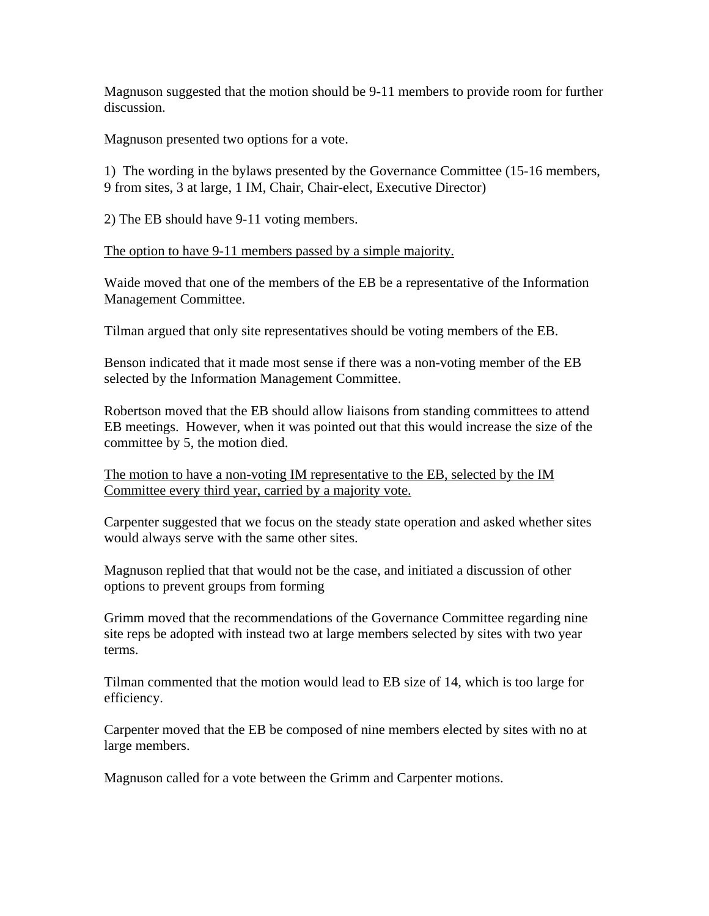Magnuson suggested that the motion should be 9-11 members to provide room for further discussion.

Magnuson presented two options for a vote.

1) The wording in the bylaws presented by the Governance Committee (15-16 members, 9 from sites, 3 at large, 1 IM, Chair, Chair-elect, Executive Director)

2) The EB should have 9-11 voting members.

The option to have 9-11 members passed by a simple majority.

Waide moved that one of the members of the EB be a representative of the Information Management Committee.

Tilman argued that only site representatives should be voting members of the EB.

Benson indicated that it made most sense if there was a non-voting member of the EB selected by the Information Management Committee.

Robertson moved that the EB should allow liaisons from standing committees to attend EB meetings. However, when it was pointed out that this would increase the size of the committee by 5, the motion died.

The motion to have a non-voting IM representative to the EB, selected by the IM Committee every third year, carried by a majority vote.

Carpenter suggested that we focus on the steady state operation and asked whether sites would always serve with the same other sites.

Magnuson replied that that would not be the case, and initiated a discussion of other options to prevent groups from forming

Grimm moved that the recommendations of the Governance Committee regarding nine site reps be adopted with instead two at large members selected by sites with two year terms.

Tilman commented that the motion would lead to EB size of 14, which is too large for efficiency.

Carpenter moved that the EB be composed of nine members elected by sites with no at large members.

Magnuson called for a vote between the Grimm and Carpenter motions.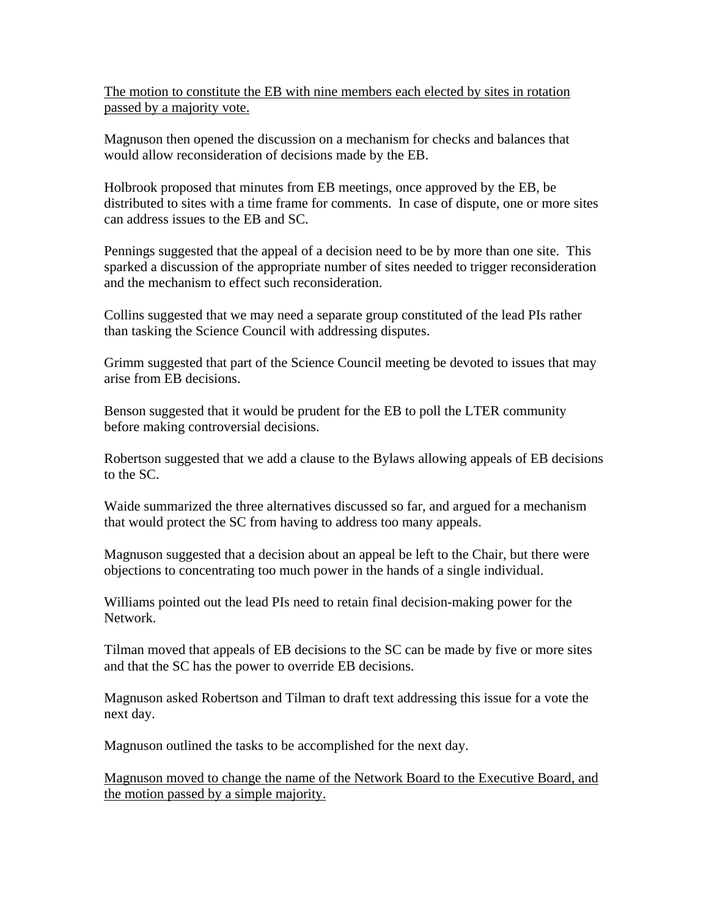The motion to constitute the EB with nine members each elected by sites in rotation passed by a majority vote.

Magnuson then opened the discussion on a mechanism for checks and balances that would allow reconsideration of decisions made by the EB.

Holbrook proposed that minutes from EB meetings, once approved by the EB, be distributed to sites with a time frame for comments. In case of dispute, one or more sites can address issues to the EB and SC.

Pennings suggested that the appeal of a decision need to be by more than one site. This sparked a discussion of the appropriate number of sites needed to trigger reconsideration and the mechanism to effect such reconsideration.

Collins suggested that we may need a separate group constituted of the lead PIs rather than tasking the Science Council with addressing disputes.

Grimm suggested that part of the Science Council meeting be devoted to issues that may arise from EB decisions.

Benson suggested that it would be prudent for the EB to poll the LTER community before making controversial decisions.

Robertson suggested that we add a clause to the Bylaws allowing appeals of EB decisions to the SC.

Waide summarized the three alternatives discussed so far, and argued for a mechanism that would protect the SC from having to address too many appeals.

Magnuson suggested that a decision about an appeal be left to the Chair, but there were objections to concentrating too much power in the hands of a single individual.

Williams pointed out the lead PIs need to retain final decision-making power for the Network.

Tilman moved that appeals of EB decisions to the SC can be made by five or more sites and that the SC has the power to override EB decisions.

Magnuson asked Robertson and Tilman to draft text addressing this issue for a vote the next day.

Magnuson outlined the tasks to be accomplished for the next day.

Magnuson moved to change the name of the Network Board to the Executive Board, and the motion passed by a simple majority.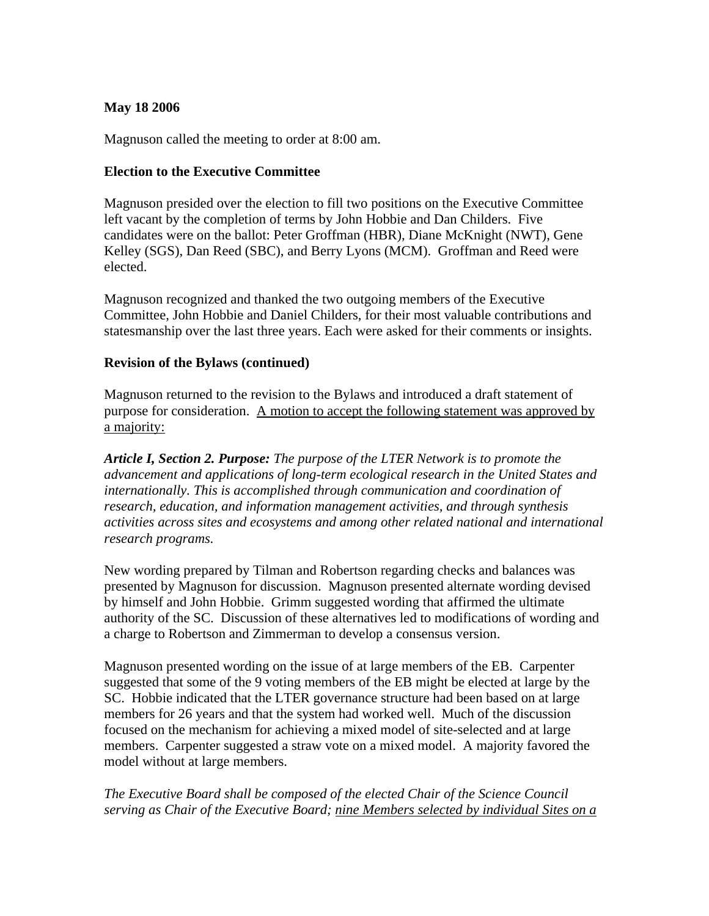### **May 18 2006**

Magnuson called the meeting to order at 8:00 am.

### **Election to the Executive Committee**

Magnuson presided over the election to fill two positions on the Executive Committee left vacant by the completion of terms by John Hobbie and Dan Childers. Five candidates were on the ballot: Peter Groffman (HBR), Diane McKnight (NWT), Gene Kelley (SGS), Dan Reed (SBC), and Berry Lyons (MCM). Groffman and Reed were elected.

Magnuson recognized and thanked the two outgoing members of the Executive Committee, John Hobbie and Daniel Childers, for their most valuable contributions and statesmanship over the last three years. Each were asked for their comments or insights.

### **Revision of the Bylaws (continued)**

Magnuson returned to the revision to the Bylaws and introduced a draft statement of purpose for consideration. A motion to accept the following statement was approved by a majority:

*Article I, Section 2. Purpose: The purpose of the LTER Network is to promote the advancement and applications of long-term ecological research in the United States and internationally. This is accomplished through communication and coordination of research, education, and information management activities, and through synthesis activities across sites and ecosystems and among other related national and international research programs.* 

New wording prepared by Tilman and Robertson regarding checks and balances was presented by Magnuson for discussion. Magnuson presented alternate wording devised by himself and John Hobbie. Grimm suggested wording that affirmed the ultimate authority of the SC. Discussion of these alternatives led to modifications of wording and a charge to Robertson and Zimmerman to develop a consensus version.

Magnuson presented wording on the issue of at large members of the EB. Carpenter suggested that some of the 9 voting members of the EB might be elected at large by the SC. Hobbie indicated that the LTER governance structure had been based on at large members for 26 years and that the system had worked well. Much of the discussion focused on the mechanism for achieving a mixed model of site-selected and at large members. Carpenter suggested a straw vote on a mixed model. A majority favored the model without at large members.

*The Executive Board shall be composed of the elected Chair of the Science Council serving as Chair of the Executive Board; nine Members selected by individual Sites on a*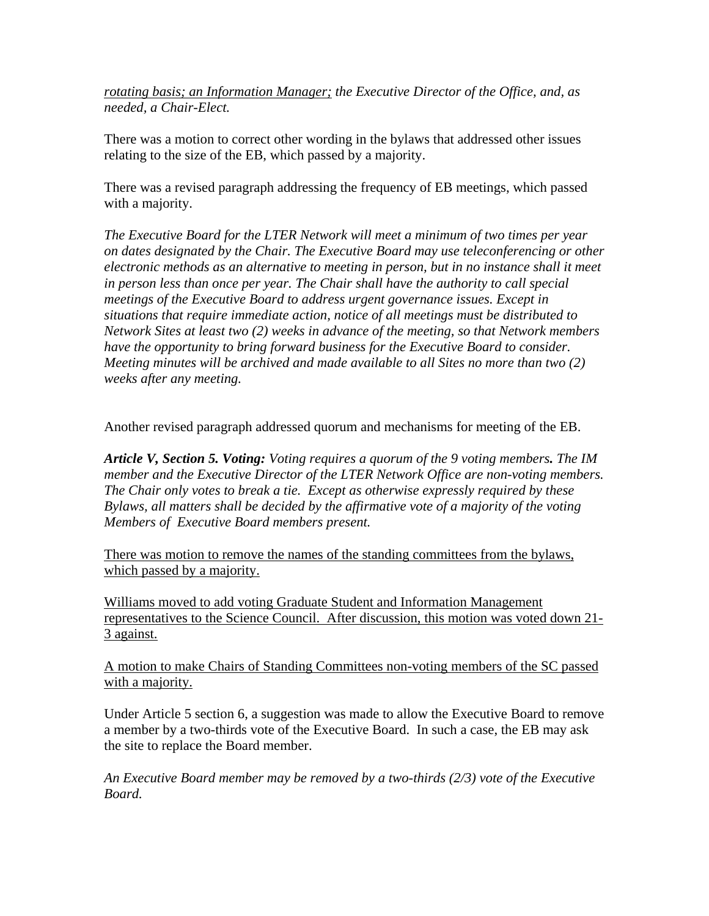*rotating basis; an Information Manager; the Executive Director of the Office, and, as needed, a Chair-Elect.* 

There was a motion to correct other wording in the bylaws that addressed other issues relating to the size of the EB, which passed by a majority.

There was a revised paragraph addressing the frequency of EB meetings, which passed with a majority.

*The Executive Board for the LTER Network will meet a minimum of two times per year on dates designated by the Chair. The Executive Board may use teleconferencing or other electronic methods as an alternative to meeting in person, but in no instance shall it meet in person less than once per year. The Chair shall have the authority to call special meetings of the Executive Board to address urgent governance issues. Except in situations that require immediate action, notice of all meetings must be distributed to Network Sites at least two (2) weeks in advance of the meeting, so that Network members have the opportunity to bring forward business for the Executive Board to consider. Meeting minutes will be archived and made available to all Sites no more than two (2) weeks after any meeting.* 

Another revised paragraph addressed quorum and mechanisms for meeting of the EB.

*Article V, Section 5. Voting: Voting requires a quorum of the 9 voting members. The IM member and the Executive Director of the LTER Network Office are non-voting members. The Chair only votes to break a tie. Except as otherwise expressly required by these Bylaws, all matters shall be decided by the affirmative vote of a majority of the voting Members of Executive Board members present.* 

There was motion to remove the names of the standing committees from the bylaws, which passed by a majority.

Williams moved to add voting Graduate Student and Information Management representatives to the Science Council. After discussion, this motion was voted down 21- 3 against.

A motion to make Chairs of Standing Committees non-voting members of the SC passed with a majority.

Under Article 5 section 6, a suggestion was made to allow the Executive Board to remove a member by a two-thirds vote of the Executive Board. In such a case, the EB may ask the site to replace the Board member.

*An Executive Board member may be removed by a two-thirds (2/3) vote of the Executive Board.*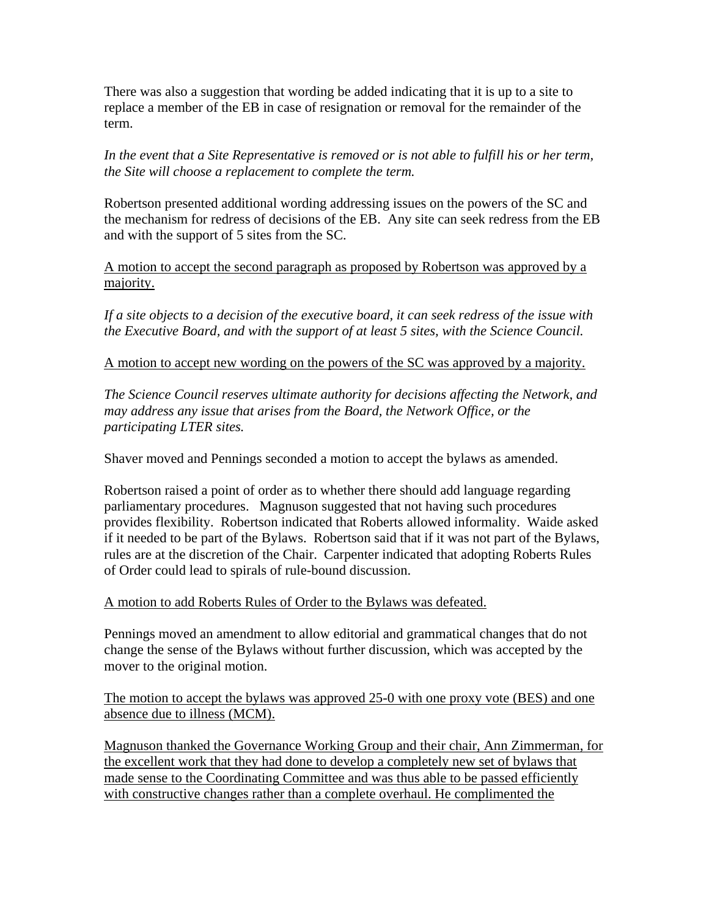There was also a suggestion that wording be added indicating that it is up to a site to replace a member of the EB in case of resignation or removal for the remainder of the term.

*In the event that a Site Representative is removed or is not able to fulfill his or her term, the Site will choose a replacement to complete the term.* 

Robertson presented additional wording addressing issues on the powers of the SC and the mechanism for redress of decisions of the EB. Any site can seek redress from the EB and with the support of 5 sites from the SC.

A motion to accept the second paragraph as proposed by Robertson was approved by a majority.

*If a site objects to a decision of the executive board, it can seek redress of the issue with the Executive Board, and with the support of at least 5 sites, with the Science Council.* 

### A motion to accept new wording on the powers of the SC was approved by a majority.

*The Science Council reserves ultimate authority for decisions affecting the Network, and may address any issue that arises from the Board, the Network Office, or the participating LTER sites.* 

Shaver moved and Pennings seconded a motion to accept the bylaws as amended.

Robertson raised a point of order as to whether there should add language regarding parliamentary procedures. Magnuson suggested that not having such procedures provides flexibility. Robertson indicated that Roberts allowed informality. Waide asked if it needed to be part of the Bylaws. Robertson said that if it was not part of the Bylaws, rules are at the discretion of the Chair. Carpenter indicated that adopting Roberts Rules of Order could lead to spirals of rule-bound discussion.

### A motion to add Roberts Rules of Order to the Bylaws was defeated.

Pennings moved an amendment to allow editorial and grammatical changes that do not change the sense of the Bylaws without further discussion, which was accepted by the mover to the original motion.

The motion to accept the bylaws was approved 25-0 with one proxy vote (BES) and one absence due to illness (MCM).

Magnuson thanked the Governance Working Group and their chair, Ann Zimmerman, for the excellent work that they had done to develop a completely new set of bylaws that made sense to the Coordinating Committee and was thus able to be passed efficiently with constructive changes rather than a complete overhaul. He complimented the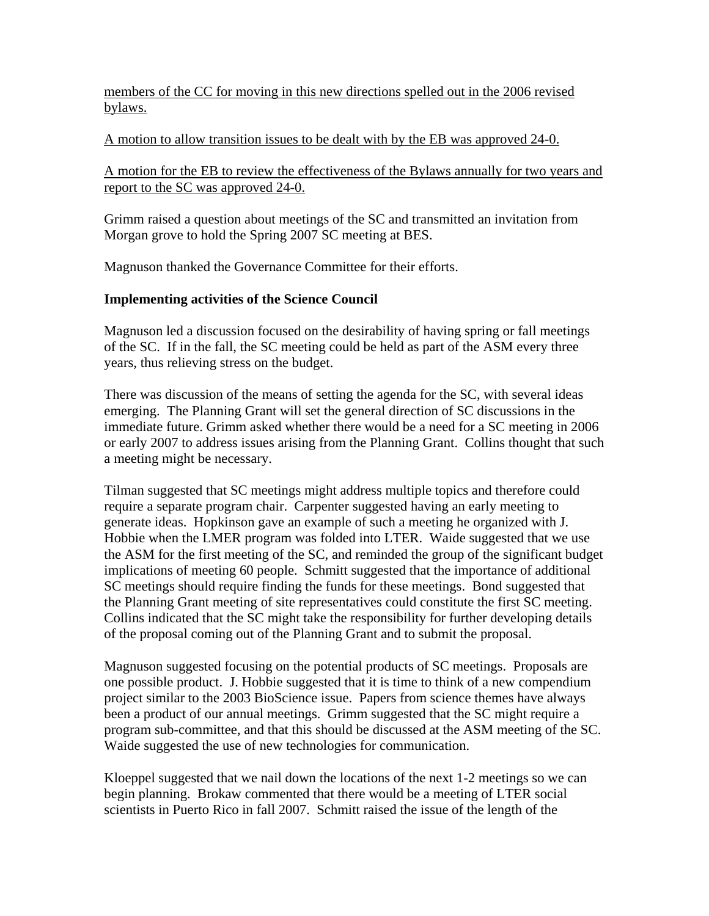members of the CC for moving in this new directions spelled out in the 2006 revised bylaws.

### A motion to allow transition issues to be dealt with by the EB was approved 24-0.

A motion for the EB to review the effectiveness of the Bylaws annually for two years and report to the SC was approved 24-0.

Grimm raised a question about meetings of the SC and transmitted an invitation from Morgan grove to hold the Spring 2007 SC meeting at BES.

Magnuson thanked the Governance Committee for their efforts.

### **Implementing activities of the Science Council**

Magnuson led a discussion focused on the desirability of having spring or fall meetings of the SC. If in the fall, the SC meeting could be held as part of the ASM every three years, thus relieving stress on the budget.

There was discussion of the means of setting the agenda for the SC, with several ideas emerging. The Planning Grant will set the general direction of SC discussions in the immediate future. Grimm asked whether there would be a need for a SC meeting in 2006 or early 2007 to address issues arising from the Planning Grant. Collins thought that such a meeting might be necessary.

Tilman suggested that SC meetings might address multiple topics and therefore could require a separate program chair. Carpenter suggested having an early meeting to generate ideas. Hopkinson gave an example of such a meeting he organized with J. Hobbie when the LMER program was folded into LTER. Waide suggested that we use the ASM for the first meeting of the SC, and reminded the group of the significant budget implications of meeting 60 people. Schmitt suggested that the importance of additional SC meetings should require finding the funds for these meetings. Bond suggested that the Planning Grant meeting of site representatives could constitute the first SC meeting. Collins indicated that the SC might take the responsibility for further developing details of the proposal coming out of the Planning Grant and to submit the proposal.

Magnuson suggested focusing on the potential products of SC meetings. Proposals are one possible product. J. Hobbie suggested that it is time to think of a new compendium project similar to the 2003 BioScience issue. Papers from science themes have always been a product of our annual meetings. Grimm suggested that the SC might require a program sub-committee, and that this should be discussed at the ASM meeting of the SC. Waide suggested the use of new technologies for communication.

Kloeppel suggested that we nail down the locations of the next 1-2 meetings so we can begin planning. Brokaw commented that there would be a meeting of LTER social scientists in Puerto Rico in fall 2007. Schmitt raised the issue of the length of the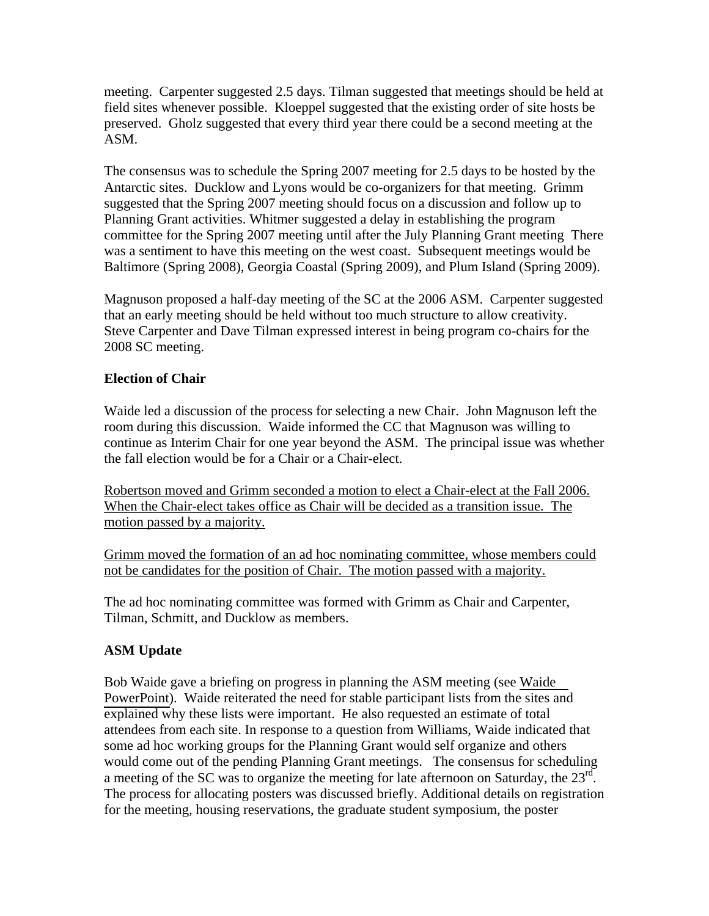meeting. Carpenter suggested 2.5 days. Tilman suggested that meetings should be held at field sites whenever possible. Kloeppel suggested that the existing order of site hosts be preserved. Gholz suggested that every third year there could be a second meeting at the ASM.

The consensus was to schedule the Spring 2007 meeting for 2.5 days to be hosted by the Antarctic sites. Ducklow and Lyons would be co-organizers for that meeting. Grimm suggested that the Spring 2007 meeting should focus on a discussion and follow up to Planning Grant activities. Whitmer suggested a delay in establishing the program committee for the Spring 2007 meeting until after the July Planning Grant meeting There was a sentiment to have this meeting on the west coast. Subsequent meetings would be Baltimore (Spring 2008), Georgia Coastal (Spring 2009), and Plum Island (Spring 2009).

Magnuson proposed a half-day meeting of the SC at the 2006 ASM. Carpenter suggested that an early meeting should be held without too much structure to allow creativity. Steve Carpenter and Dave Tilman expressed interest in being program co-chairs for the 2008 SC meeting.

## **Election of Chair**

Waide led a discussion of the process for selecting a new Chair. John Magnuson left the room during this discussion. Waide informed the CC that Magnuson was willing to continue as Interim Chair for one year beyond the ASM. The principal issue was whether the fall election would be for a Chair or a Chair-elect.

Robertson moved and Grimm seconded a motion to elect a Chair-elect at the Fall 2006. When the Chair-elect takes office as Chair will be decided as a transition issue. The motion passed by a majority.

Grimm moved the formation of an ad hoc nominating committee, whose members could not be candidates for the position of Chair. The motion passed with a majority.

The ad hoc nominating committee was formed with Grimm as Chair and Carpenter, Tilman, Schmitt, and Ducklow as members.

## **ASM Update**

Bob Waide gave a briefing on progress in planning the ASM meeting (see [Waide](http://intranet.lternet.edu/committees/coordinating/spring06mtg/Waide_LTER-CC_May06.ppt)  [PowerPoint\)](http://intranet.lternet.edu/committees/coordinating/spring06mtg/Waide_LTER-CC_May06.ppt). Waide reiterated the need for stable participant lists from the sites and explained why these lists were important. He also requested an estimate of total attendees from each site. In response to a question from Williams, Waide indicated that some ad hoc working groups for the Planning Grant would self organize and others would come out of the pending Planning Grant meetings. The consensus for scheduling a meeting of the SC was to organize the meeting for late afternoon on Saturday, the  $23^{\text{rd}}$ . The process for allocating posters was discussed briefly. Additional details on registration for the meeting, housing reservations, the graduate student symposium, the poster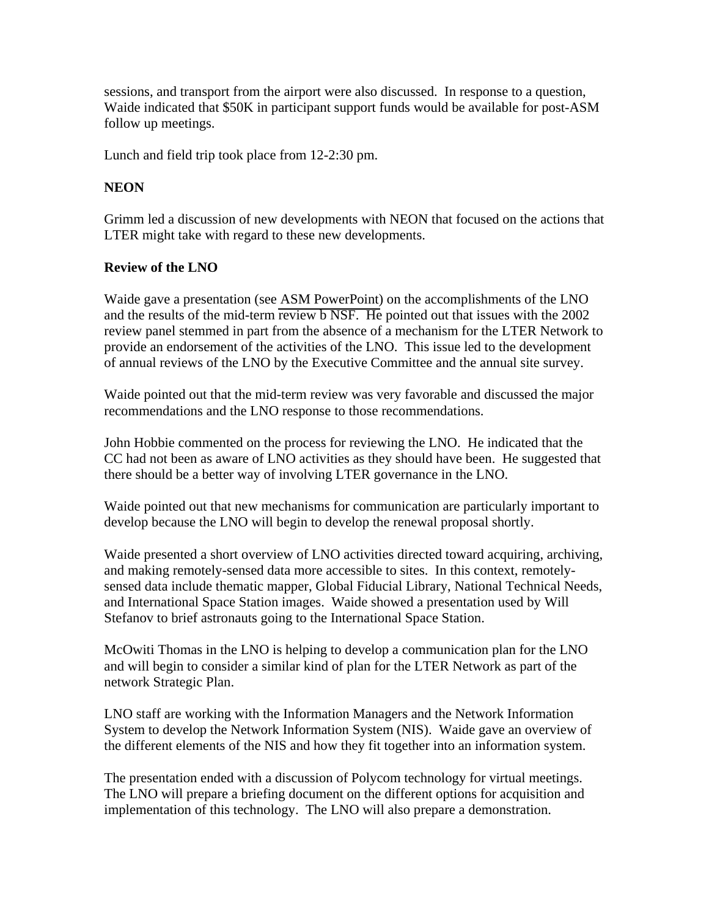sessions, and transport from the airport were also discussed. In response to a question, Waide indicated that \$50K in participant support funds would be available for post-ASM follow up meetings.

Lunch and field trip took place from 12-2:30 pm.

## **NEON**

Grimm led a discussion of new developments with NEON that focused on the actions that LTER might take with regard to these new developments.

# **Review of the LNO**

Waide gave a presentation (see [ASM PowerPoint\)](http://intranet.lternet.edu/committees/coordinating/spring06mtg/ASM update_LTER-CC_May06.ppt) on the accomplishments of the LNO and the results of the mid-term review b NSF. He pointed out that issues with the 2002 review panel stemmed in part from the absence of a mechanism for the LTER Network to provide an endorsement of the activities of the LNO. This issue led to the development of annual reviews of the LNO by the Executive Committee and the annual site survey.

Waide pointed out that the mid-term review was very favorable and discussed the major recommendations and the LNO response to those recommendations.

John Hobbie commented on the process for reviewing the LNO. He indicated that the CC had not been as aware of LNO activities as they should have been. He suggested that there should be a better way of involving LTER governance in the LNO.

Waide pointed out that new mechanisms for communication are particularly important to develop because the LNO will begin to develop the renewal proposal shortly.

Waide presented a short overview of LNO activities directed toward acquiring, archiving, and making remotely-sensed data more accessible to sites. In this context, remotelysensed data include thematic mapper, Global Fiducial Library, National Technical Needs, and International Space Station images. Waide showed a presentation used by Will Stefanov to brief astronauts going to the International Space Station.

McOwiti Thomas in the LNO is helping to develop a communication plan for the LNO and will begin to consider a similar kind of plan for the LTER Network as part of the network Strategic Plan.

LNO staff are working with the Information Managers and the Network Information System to develop the Network Information System (NIS). Waide gave an overview of the different elements of the NIS and how they fit together into an information system.

The presentation ended with a discussion of Polycom technology for virtual meetings. The LNO will prepare a briefing document on the different options for acquisition and implementation of this technology. The LNO will also prepare a demonstration.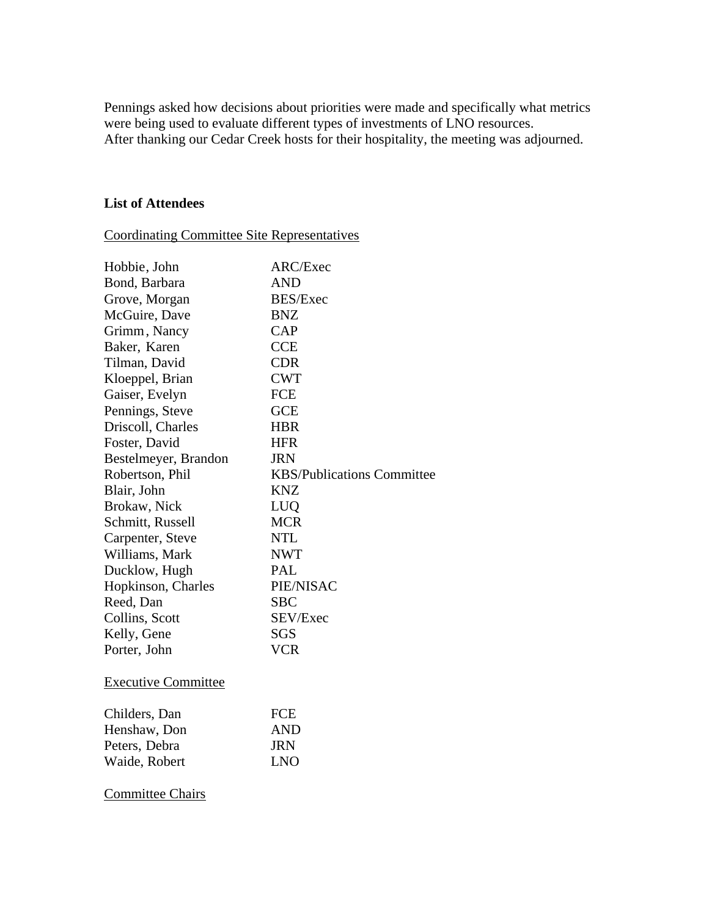Pennings asked how decisions about priorities were made and specifically what metrics were being used to evaluate different types of investments of LNO resources. After thanking our Cedar Creek hosts for their hospitality, the meeting was adjourned.

### **List of Attendees**

Coordinating Committee Site Representatives

| Hobbie, John               | ARC/Exec                          |
|----------------------------|-----------------------------------|
| Bond, Barbara              | <b>AND</b>                        |
| Grove, Morgan              | <b>BES/Exec</b>                   |
| McGuire, Dave              | <b>BNZ</b>                        |
| Grimm, Nancy               | <b>CAP</b>                        |
| Baker, Karen               | <b>CCE</b>                        |
| Tilman, David              | <b>CDR</b>                        |
| Kloeppel, Brian            | <b>CWT</b>                        |
| Gaiser, Evelyn             | <b>FCE</b>                        |
| Pennings, Steve            | <b>GCE</b>                        |
| Driscoll, Charles          | <b>HBR</b>                        |
| Foster, David              | <b>HFR</b>                        |
| Bestelmeyer, Brandon       | <b>JRN</b>                        |
| Robertson, Phil            | <b>KBS/Publications Committee</b> |
| Blair, John                | <b>KNZ</b>                        |
| Brokaw, Nick               | LUQ                               |
| Schmitt, Russell           | <b>MCR</b>                        |
| Carpenter, Steve           | <b>NTL</b>                        |
| Williams, Mark             | <b>NWT</b>                        |
| Ducklow, Hugh              | PAL                               |
| Hopkinson, Charles         | PIE/NISAC                         |
| Reed, Dan                  | <b>SBC</b>                        |
| Collins, Scott             | SEV/Exec                          |
| Kelly, Gene                | SGS                               |
| Porter, John               | <b>VCR</b>                        |
| <b>Executive Committee</b> |                                   |
| Childers, Dan              | <b>FCE</b>                        |
| Henshaw, Don               | <b>AND</b>                        |
| Peters, Debra              | <b>JRN</b>                        |
| Waide, Robert              | <b>LNO</b>                        |
| <b>Committee Chairs</b>    |                                   |